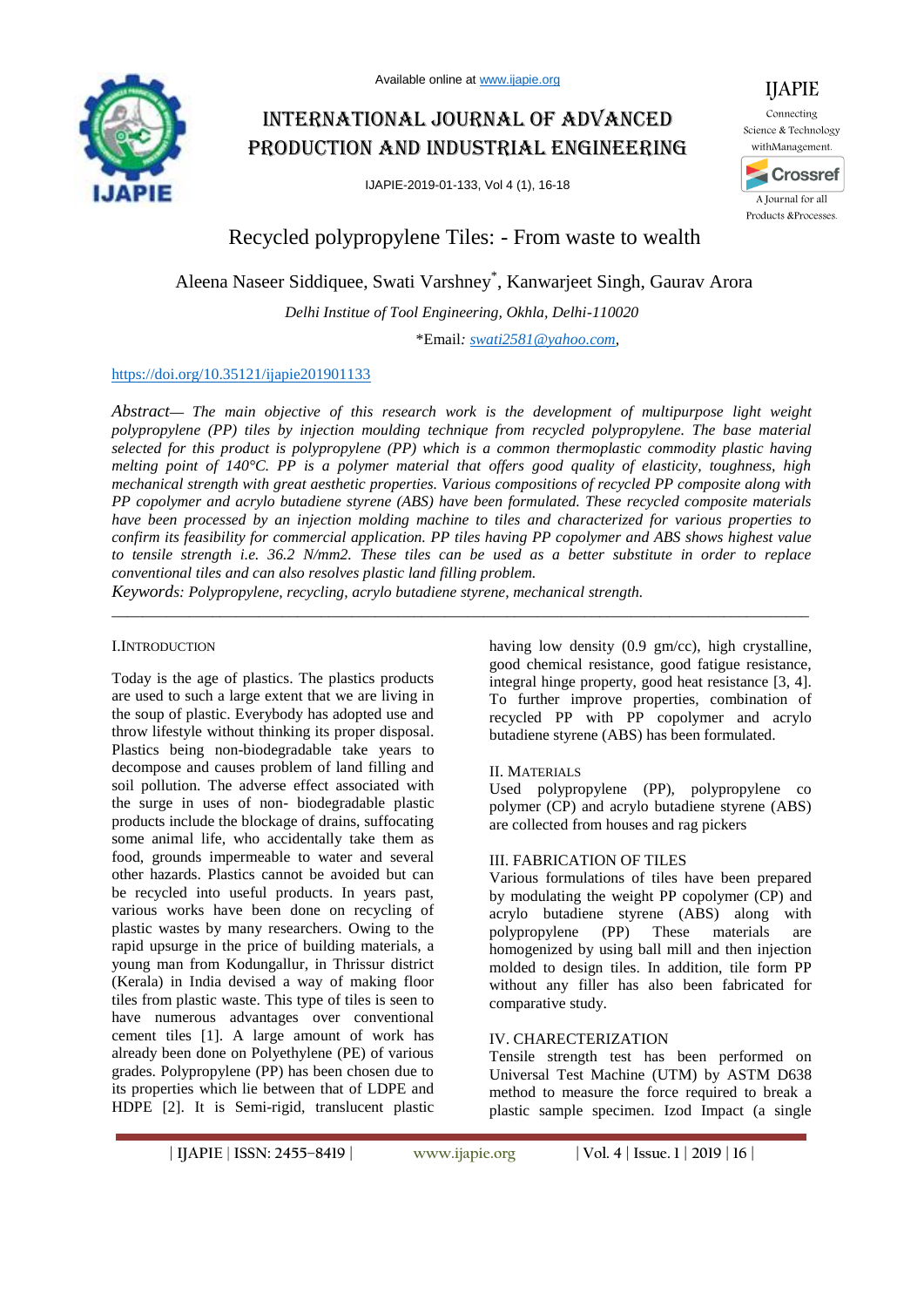# International journal of advanced production and industrial engineering

IJAPIE-2019-01-133, Vol 4 (1), 16-18



IJAPIE Connecting

Recycled polypropylene Tiles: - From waste to wealth

# Aleena Naseer Siddiquee, Swati Varshney\* , Kanwarjeet Singh, Gaurav Arora

*Delhi Institue of Tool Engineering, Okhla, Delhi-110020*

\*Email*: swati2581@yahoo.com,*

# https://doi.org/10.35121/ijapie201901133

*Abstract***—** *The main objective of this research work is the development of multipurpose light weight polypropylene (PP) tiles by injection moulding technique from recycled polypropylene. The base material selected for this product is polypropylene (PP) which is a common thermoplastic commodity plastic having melting point of 140°C. PP is a polymer material that offers good quality of elasticity, toughness, high mechanical strength with great aesthetic properties. Various compositions of recycled PP composite along with PP copolymer and acrylo butadiene styrene (ABS) have been formulated. These recycled composite materials have been processed by an injection molding machine to tiles and characterized for various properties to confirm its feasibility for commercial application. PP tiles having PP copolymer and ABS shows highest value to tensile strength i.e. 36.2 N/mm2. These tiles can be used as a better substitute in order to replace conventional tiles and can also resolves plastic land filling problem.* 

\_\_\_\_\_\_\_\_\_\_\_\_\_\_\_\_\_\_\_\_\_\_\_\_\_\_\_\_\_\_\_\_\_\_\_\_\_\_\_\_\_\_\_\_\_\_\_\_\_\_\_\_\_\_\_\_\_\_\_\_\_\_\_\_\_\_\_\_\_\_\_\_\_\_\_\_\_\_\_\_\_\_\_\_\_\_\_\_\_\_

*Keywords: Polypropylene, recycling, acrylo butadiene styrene, mechanical strength.*

#### I.INTRODUCTION

Today is the age of plastics. The plastics products are used to such a large extent that we are living in the soup of plastic. Everybody has adopted use and throw lifestyle without thinking its proper disposal. Plastics being non-biodegradable take years to decompose and causes problem of land filling and soil pollution. The adverse effect associated with the surge in uses of non- biodegradable plastic products include the blockage of drains, suffocating some animal life, who accidentally take them as food, grounds impermeable to water and several other hazards. Plastics cannot be avoided but can be recycled into useful products. In years past, various works have been done on recycling of plastic wastes by many researchers. Owing to the rapid upsurge in the price of building materials, a young man from Kodungallur, in Thrissur district (Kerala) in India devised a way of making floor tiles from plastic waste. This type of tiles is seen to have numerous advantages over conventional cement tiles [1]. A large amount of work has already been done on Polyethylene (PE) of various grades. Polypropylene (PP) has been chosen due to its properties which lie between that of LDPE and HDPE [2]. It is Semi-rigid, translucent plastic

having low density (0.9 gm/cc), high crystalline, good chemical resistance, good fatigue resistance, integral hinge property, good heat resistance [3, 4]. To further improve properties, combination of recycled PP with PP copolymer and acrylo butadiene styrene (ABS) has been formulated.

# II. MATERIALS

Used polypropylene (PP), polypropylene co polymer (CP) and acrylo butadiene styrene (ABS) are collected from houses and rag pickers

#### III. FABRICATION OF TILES

Various formulations of tiles have been prepared by modulating the weight PP copolymer (CP) and acrylo butadiene styrene (ABS) along with polypropylene (PP) These materials are homogenized by using ball mill and then injection molded to design tiles. In addition, tile form PP without any filler has also been fabricated for comparative study.

# IV. CHARECTERIZATION

Tensile strength test has been performed on Universal Test Machine (UTM) by ASTM D638 method to measure the force required to break a plastic sample specimen. Izod Impact (a single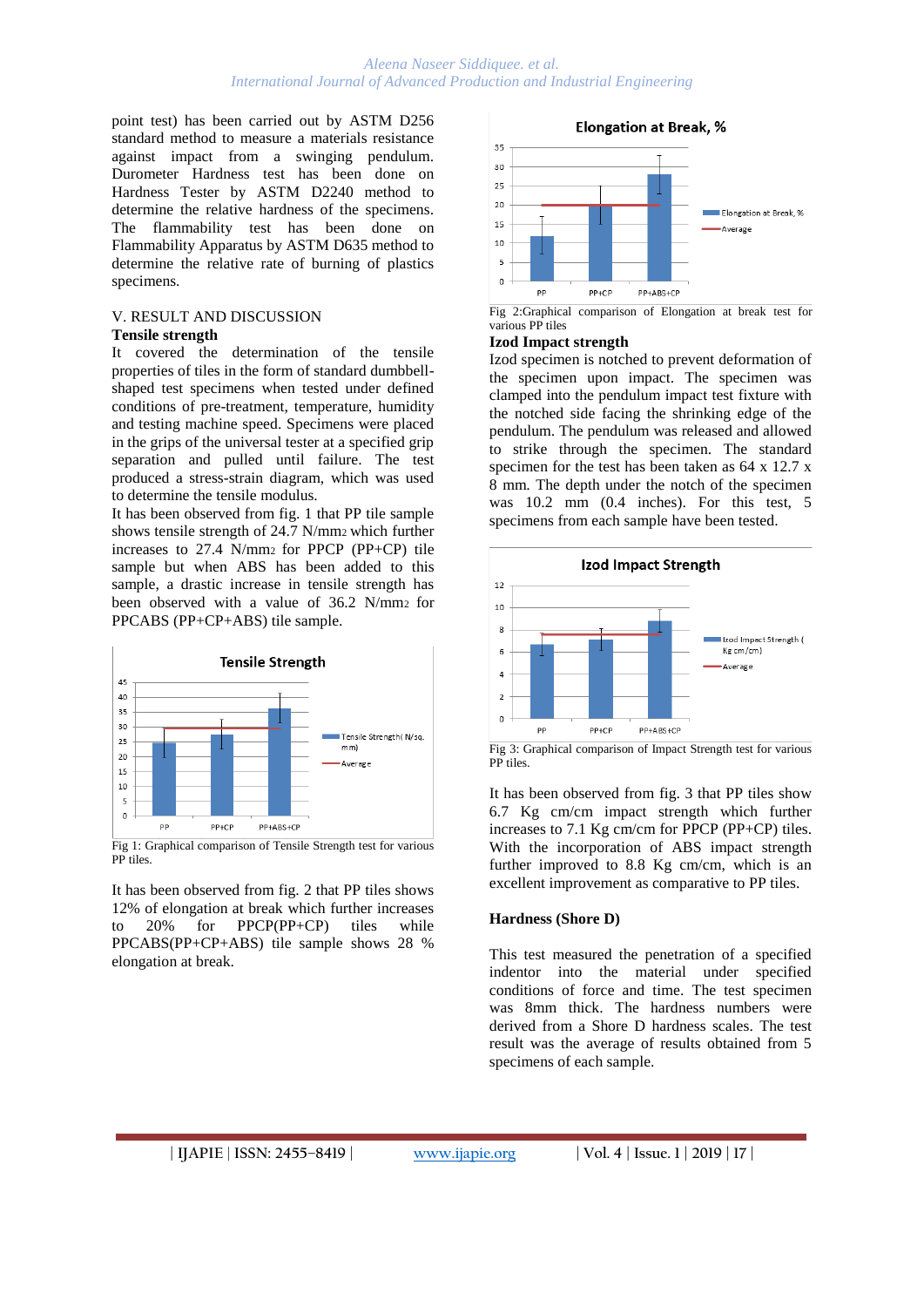point test) has been carried out by ASTM D256 standard method to measure a materials resistance against impact from a swinging pendulum. Durometer Hardness test has been done on Hardness Tester by ASTM D2240 method to determine the relative hardness of the specimens. The flammability test has been done on Flammability Apparatus by ASTM D635 method to determine the relative rate of burning of plastics specimens.

#### V. RESULT AND DISCUSSION **Tensile strength**

It covered the determination of the tensile properties of tiles in the form of standard dumbbellshaped test specimens when tested under defined conditions of pre-treatment, temperature, humidity and testing machine speed. Specimens were placed in the grips of the universal tester at a specified grip separation and pulled until failure. The test produced a stress-strain diagram, which was used to determine the tensile modulus.

It has been observed from fig. 1 that PP tile sample shows tensile strength of 24.7 N/mm2 which further increases to 27.4 N/mm2 for PPCP (PP+CP) tile sample but when ABS has been added to this sample, a drastic increase in tensile strength has been observed with a value of 36.2 N/mm2 for PPCABS (PP+CP+ABS) tile sample.



Fig 1: Graphical comparison of Tensile Strength test for various PP tiles.

It has been observed from fig. 2 that PP tiles shows 12% of elongation at break which further increases to 20% for PPCP(PP+CP) tiles while PPCABS(PP+CP+ABS) tile sample shows 28 % elongation at break.

**Elongation at Break, %**  $35$  $30$  $25$  $20$ Elongation at Break, % 15 -<br>Nerage 10  $\overline{5}$  $\circ$ pp  $PP+CP$ PP+ABS+CP

#### **Izod Impact strength**

Izod specimen is notched to prevent deformation of the specimen upon impact. The specimen was clamped into the pendulum impact test fixture with the notched side facing the shrinking edge of the pendulum. The pendulum was released and allowed to strike through the specimen. The standard specimen for the test has been taken as 64 x 12.7 x 8 mm. The depth under the notch of the specimen was 10.2 mm (0.4 inches). For this test, 5 specimens from each sample have been tested.



Fig 3: Graphical comparison of Impact Strength test for various PP tiles.

It has been observed from fig. 3 that PP tiles show 6.7 Kg cm/cm impact strength which further increases to 7.1 Kg cm/cm for PPCP (PP+CP) tiles. With the incorporation of ABS impact strength further improved to 8.8 Kg cm/cm, which is an excellent improvement as comparative to PP tiles.

# **Hardness (Shore D)**

This test measured the penetration of a specified indentor into the material under specified conditions of force and time. The test specimen was 8mm thick. The hardness numbers were derived from a Shore D hardness scales. The test result was the average of results obtained from 5 specimens of each sample.

Fig 2:Graphical comparison of Elongation at break test for various PP tiles